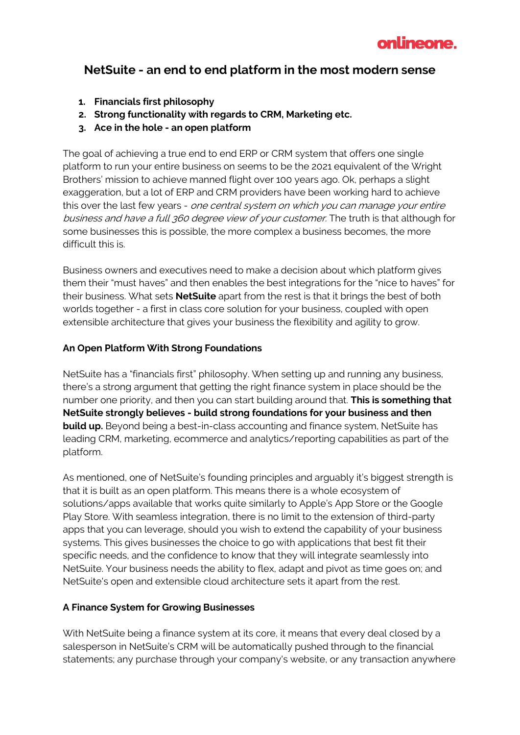

## **NetSuite - an end to end platform in the most modern sense**

- **1. Financials first philosophy**
- **2. Strong functionality with regards to CRM, Marketing etc.**
- **3. Ace in the hole - an open platform**

The goal of achieving a true end to end ERP or CRM system that offers one single platform to run your entire business on seems to be the 2021 equivalent of the Wright Brothers' mission to achieve manned flight over 100 years ago. Ok, perhaps a slight exaggeration, but a lot of ERP and CRM providers have been working hard to achieve this over the last few years - one central system on which you can manage your entire business and have a full 360 degree view of your customer. The truth is that although for some businesses this is possible, the more complex a business becomes, the more difficult this is.

Business owners and executives need to make a decision about which platform gives them their "must haves" and then enables the best integrations for the "nice to haves" for their business. What sets **NetSuite** apart from the rest is that it brings the best of both worlds together - a first in class core solution for your business, coupled with open extensible architecture that gives your business the flexibility and agility to grow.

## **An Open Platform With Strong Foundations**

NetSuite has a "financials first" philosophy. When setting up and running any business, there's a strong argument that getting the right finance system in place should be the number one priority, and then you can start building around that. **This is something that NetSuite strongly believes - build strong foundations for your business and then build up.** Beyond being a best-in-class accounting and finance system, NetSuite has leading CRM, marketing, ecommerce and analytics/reporting capabilities as part of the platform.

As mentioned, one of NetSuite's founding principles and arguably it's biggest strength is that it is built as an open platform. This means there is a whole ecosystem of solutions/apps available that works quite similarly to Apple's App Store or the Google Play Store. With seamless integration, there is no limit to the extension of third-party apps that you can leverage, should you wish to extend the capability of your business systems. This gives businesses the choice to go with applications that best fit their specific needs, and the confidence to know that they will integrate seamlessly into NetSuite. Your business needs the ability to flex, adapt and pivot as time goes on; and NetSuite's open and extensible cloud architecture sets it apart from the rest.

## **A Finance System for Growing Businesses**

With NetSuite being a finance system at its core, it means that every deal closed by a salesperson in NetSuite's CRM will be automatically pushed through to the financial statements; any purchase through your company's website, or any transaction anywhere